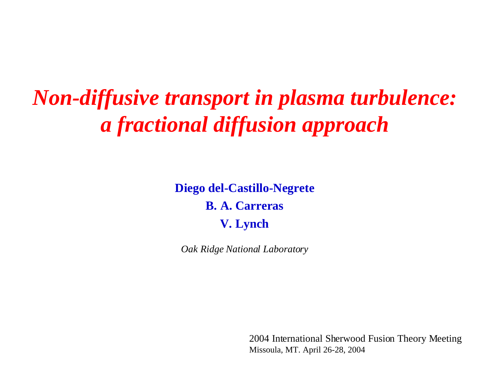*Non-diffusive transport in plasma turbulence: a fractional diffusion approach*

> **Diego del-Castillo-Negrete B. A. Carreras V. Lynch**

*Oak Ridge National Laboratory*

2004 International Sherwood Fusion Theory Meeting Missoula, MT. April 26-28, 2004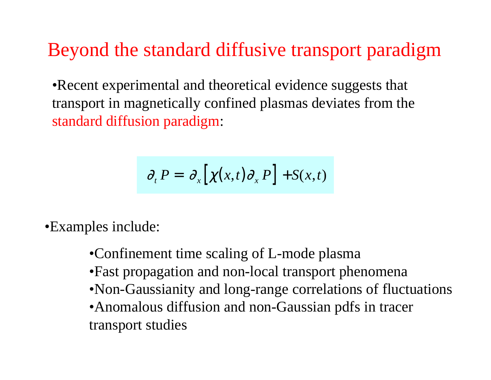### Beyond the standard diffusive transport paradigm

•Recent experimental and theoretical evidence suggests that transport in magnetically confined plasmas deviates from the standard diffusion paradigm:

$$
\partial_t P = \partial_x [\chi(x, t) \partial_x P] + S(x, t)
$$

•Examples include:

•Confinement time scaling of L-mode plasma •Fast propagation and non-local transport phenomena •Non-Gaussianity and long-range correlations of fluctuations •Anomalous diffusion and non-Gaussian pdfs in tracer transport studies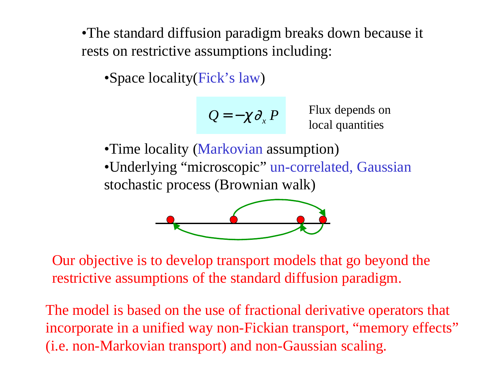•The standard diffusion paradigm breaks down because it rests on restrictive assumptions including:

•Space locality(Fick's law )

$$
Q=-\chi\partial_x P
$$

*P* Flux depends on local quantities

•Time locality (Markovian assumption) •Underlying "microscopic" un-correlated, Gaussian stochastic process (Brownian walk)



Our objective is to develop transport models that go beyond the restrictive assumptions of the standard diffusion paradigm.

The model is based on the use of fractional derivative operators that incorporate in a unified way non-Fickian transport, "memory effects" (i.e. non-Markovian transport) and non-Gaussian scaling.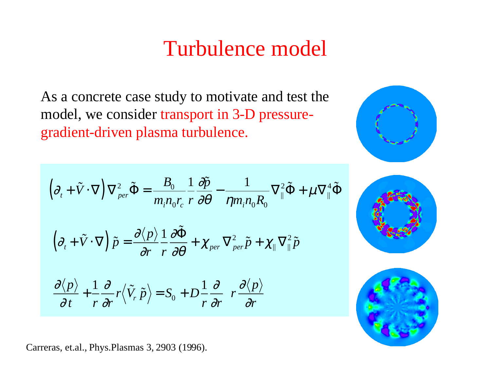# Turbulence model

As a concrete case study to motivate and test the model, we consider transport in 3-D pressuregradient-driven plasma turbulence.

$$
\left(\partial_{t} + \tilde{V} \cdot \nabla\right) \nabla_{per}^{2} \tilde{\Phi} = \frac{B_{0}}{m_{i} n_{0} r_{c}} \frac{1}{r} \frac{\partial \tilde{p}}{\partial \theta} - \frac{1}{\eta m_{i} n_{0} R_{0}} \nabla_{\parallel}^{2} \tilde{\Phi} + \mu \nabla_{\parallel}^{4} \tilde{\Phi}
$$
\n
$$
\left(\partial_{t} + \tilde{V} \cdot \nabla\right) \tilde{p} = \frac{\partial \langle p \rangle}{\partial r} \frac{1}{r} \frac{\partial \tilde{\Phi}}{\partial \theta} + \chi_{per} \nabla_{per}^{2} \tilde{p} + \chi_{\parallel} \nabla_{\parallel}^{2} \tilde{p}
$$
\n
$$
\frac{\partial \langle p \rangle}{\partial t} + \frac{1}{r} \frac{\partial}{\partial r} r \langle \tilde{V}_{r} \tilde{p} \rangle = S_{0} + D \frac{1}{r} \frac{\partial}{\partial r} \left(r \frac{\partial \langle p \rangle}{\partial r}\right)
$$

Carreras, et.al., Phys.Plasmas 3, 2903 (1996).



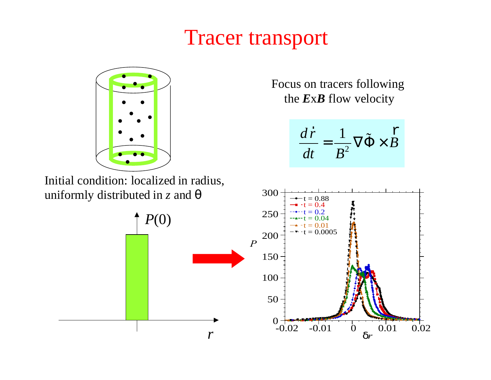# Tracer transport



Initial condition: localized in radius, uniformly distributed in *z* and θ

Focus on tracers following the *E*x*B* flow velocity

$$
\frac{d\vec{r}}{dt} = \frac{1}{B^2} \nabla \tilde{\Phi} \times \tilde{B}
$$

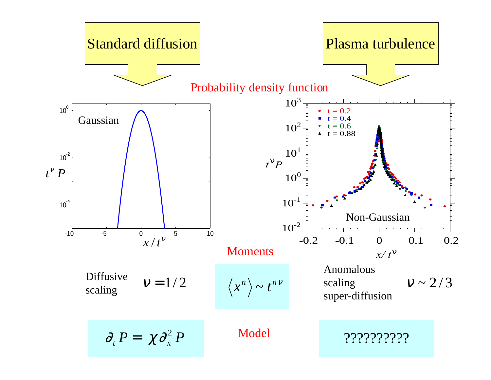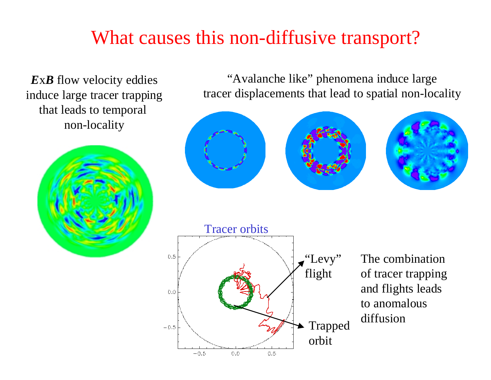### What causes this non-diffusive transport?

*E* <sup>x</sup>*B* flow velocity eddies induce large tracer trapping that leads to temporal non-locality



"Avalanche like " phenomena induce large tracer displacements that lead to spatial non-locality

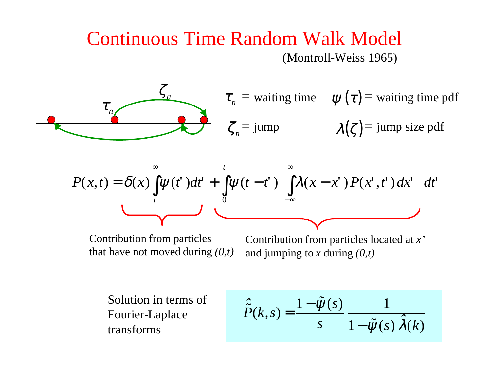#### Continuous Time Random Walk Model (Montroll-Weiss 1965)



$$
P(x,t) = \delta(x) \int_{t}^{\infty} \psi(t^{\prime}) dt^{\prime} + \int_{0}^{t} \psi(t-t^{\prime}) \left[ \int_{-\infty}^{\infty} \lambda(x-x^{\prime}) P(x^{\prime},t^{\prime}) dx^{\prime} \right] dt^{\prime}
$$

Contribution from particles that have not moved during *(0,t)*

Contribution from particles located at *x'* and jumping to *<sup>x</sup>* during *(0,t)*

Solution in terms of Fourier-Laplace transforms

$$
\hat{\tilde{P}}(k,s) = \frac{1 - \tilde{\psi}(s)}{s} \frac{1}{1 - \tilde{\psi}(s) \hat{\lambda}(k)}
$$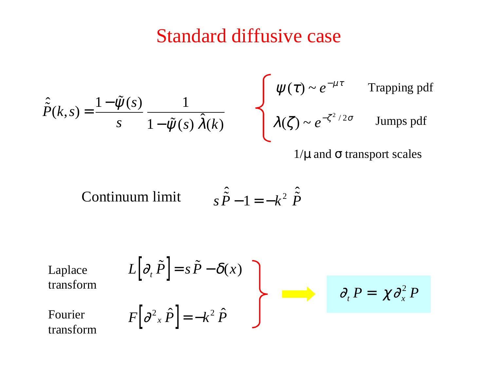## Standard diffusive case

$$
\hat{P}(k,s) = \frac{1 - \tilde{\psi}(s)}{s} \frac{1}{1 - \tilde{\psi}(s) \hat{\lambda}(k)} \qquad \begin{cases} \psi(\tau) \sim e^{-\mu \tau} & \text{Trapping pdf} \\ \lambda(\zeta) \sim e^{-\zeta^2/2\sigma} & \text{Jumps pdf} \end{cases}
$$

 $1/\mu$  and  $\sigma$  transport scales

Continuum limit 
$$
s\hat{\vec{P}} - 1 = -k^2 \hat{\vec{P}}
$$

Laplace  
\ntransform  
\nFourier  
\ntransform  
\n
$$
F\left[\partial_x \hat{P}\right] = s\tilde{P} - \delta(x)
$$
  
\n $\partial_t P = \chi \partial_x^2 P$   
\ntransform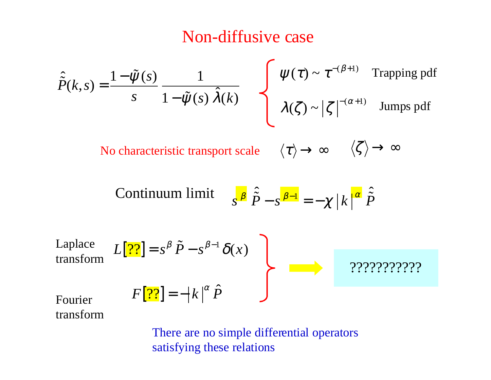#### Non-diffusive case

$$
\hat{\tilde{P}}(k,s) = \frac{1 - \tilde{\psi}(s)}{s} \frac{1}{1 - \tilde{\psi}(s) \hat{\lambda}(k)} \qquad \qquad \left\{ \begin{array}{l} \psi(\tau) \sim \tau^{-(\beta+1)} & \text{Trapping pdf} \\ \lambda(\zeta) \sim |\zeta|^{-(\alpha+1)} & \text{Jumps pdf} \end{array} \right.
$$

No characteristic transport scale  $\langle \tau \rangle \rightarrow \infty \qquad \langle \zeta \rangle \rightarrow \infty$ 

Continuum limit 
$$
s^{\beta} \hat{\vec{P}} - s^{\beta-1} = -\chi |k|^{\alpha} \hat{\vec{P}}
$$

Laplace transform 
$$
L[\overline{??}] = s^{\beta} \tilde{P} - s^{\beta-1} \delta(x)
$$
  
\nFourier\n
$$
F[\overline{??}] = -|k|^{\alpha} \hat{P}
$$
\n
$$
??????????
$$

transform

There are no simple differential operators satisfying these relations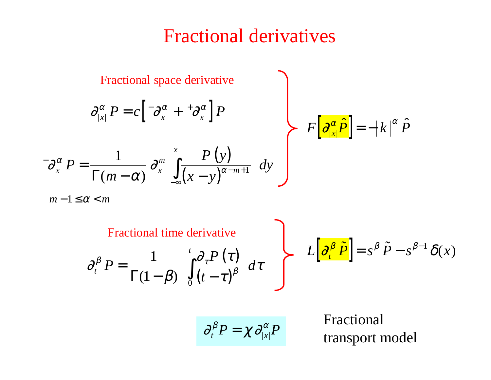#### Fractional derivatives

**Fractional space derivative**

\n
$$
\frac{\partial_{|x|}^{\alpha} P = c \left[ \frac{-\partial_{x}^{\alpha} + \frac{+\partial_{x}^{\alpha}}{\partial_{x}} \right] P}{\Gamma(m - \alpha)} \frac{\partial_{x}^{m}}{\partial_{x}^{m}} \int_{-\infty}^{x} \frac{P(y)}{(x - y)^{\alpha - m + 1}} dy
$$
\n
$$
F \left[ \frac{\partial_{|x|}^{\alpha} \hat{P}}{\partial_{|x|}^{\alpha}} \right] = -|k|^{\alpha} \hat{P}
$$

 $m-1 \leq \alpha < m$ 

 $\partial$  $\beta$  $\partial_z P$  (  $\tau$  $\tau$  $\int_{t}^{\beta} P = \frac{1}{\Gamma(1 - \beta)} \int_{t}^{t} \frac{\sigma_{\tau} I(t)}{t} dt$  $P = \frac{1}{\sqrt{2\pi}} \int_{0}^{t} \frac{\partial_{\tau} P}{\partial t}$ *t*  $=$   $\frac{1}{\sqrt{2}}$   $\frac{1}{\sqrt{2}}$   $\frac{d}{d}$ −  $(\tau)$  $\frac{1}{\Gamma(1-\beta)}$   $\int_{0}^{t} \frac{\partial_{\tau} P(\tau)}{(t-\tau)^{\beta}} d\tau$   $L\left[\frac{\partial_{t}^{\beta} \tilde{P}}{(\partial_{\tau}^{\beta})}\right] = s^{\beta} \tilde{P} - s^{\beta-1} \delta(x)$ Fractional time derivative

$$
\partial_t^{\beta} P = \chi \, \partial_{|x|}^{\alpha} P
$$

Fractional<br>transport model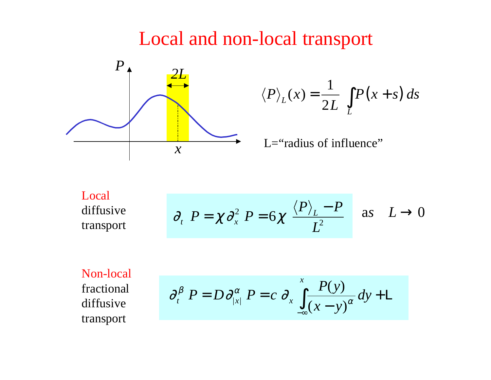#### Local and non-local transport



$$
\langle P \rangle_L(x) = \frac{1}{2L} \int_L P(x+s) \, ds
$$

L="radius of influence"

Local diffusive transport

$$
\partial_t P = \chi \partial_x^2 P = 6\chi \frac{\langle P \rangle_L - P}{L^2}
$$
 as  $L \to 0$ 

Non-local fractional diffusive transport

$$
\partial_t^{\beta} P = D \partial_{|x|}^{\alpha} P = c \partial_x \int_{-\infty}^{x} \frac{P(y)}{(x-y)^{\alpha}} dy + \mathbb{L}
$$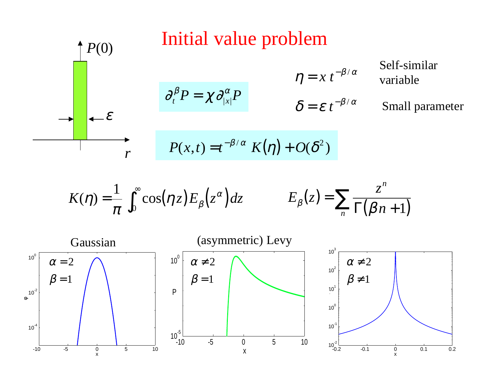

$$
K(\eta) = \frac{1}{\pi} \int_0^\infty \cos(\eta z) E_\beta(z^\alpha) dz \qquad E_\beta(z) = \sum_n \frac{z^n}{\Gamma(\beta n + 1)}
$$

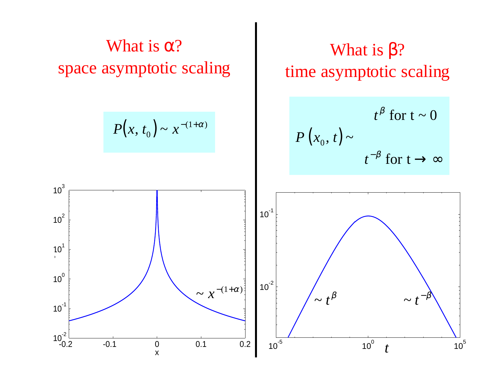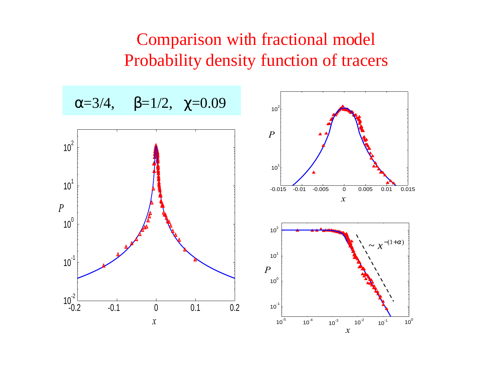#### Comparison with fractional model Probability density function of tracers

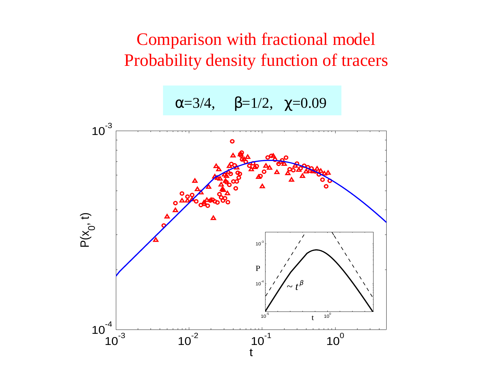#### Comparison with fractional model Probability density function of tracers

<sup>α</sup>=3/4, β=1/2, χ=0.09

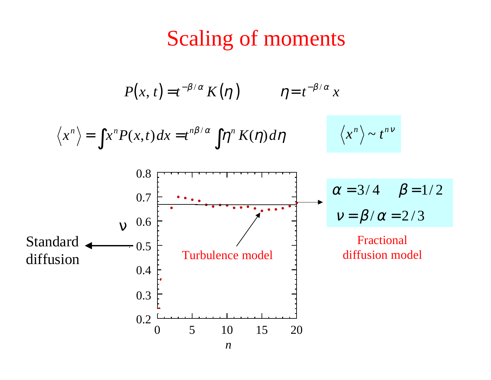## Scaling of moments

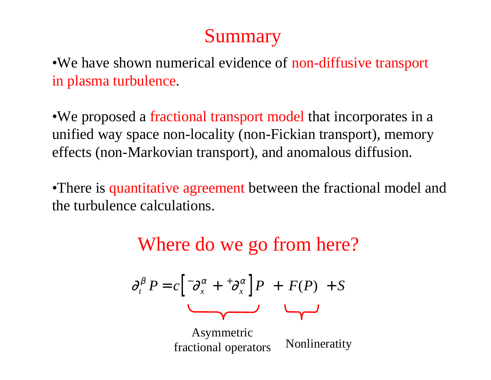### Summary

•We have shown numerical evidence of non-diffusive transport in plasma turbulence.

•We proposed a fractional transport model that incorporates in a unified way space non-locality (non-Fickian transport), memory effects (non-Markovian transport), and anomalous diffusion.

•There is quantitative agreement between the fractional model and the turbulence calculations.



$$
\partial_t^{\beta} P = c \left[ \partial_x^{\alpha} + {}^+\partial_x^{\alpha} \right] P + F(P) + S
$$

Asymmetric fractional operators Nonlineratity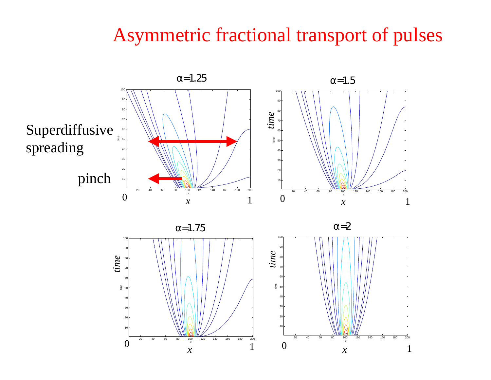#### Asymmetric fractional transport of pulses

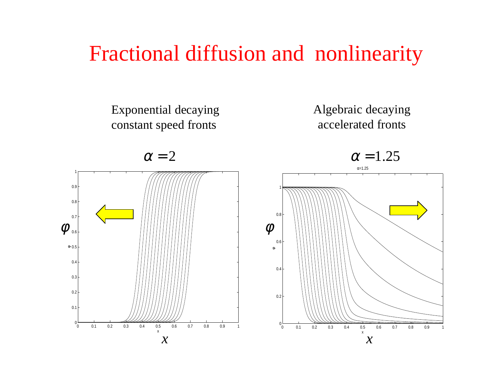# Fractional diffusion and nonlinearity

Exponential decaying constant speed fronts



 $\alpha = 2$ 





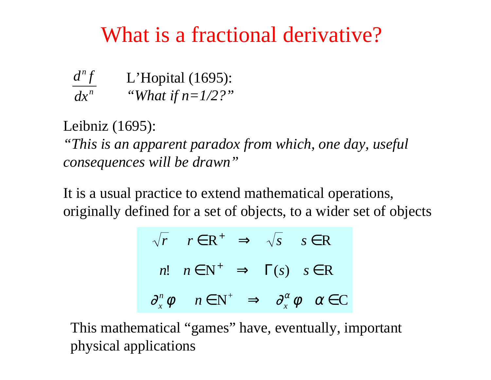# What is a fractional derivative?

| $d^n f$ | L'Hopital $(1695)$ : |
|---------|----------------------|
| $dx^n$  | "What if $n=1/2$ ?"  |

Leibniz (1695):

*"This is an apparent paradox from which, one day, useful consequences will be drawn "*

It is a usual practice to extend mathematical operations, originally defined for a set of objects, to a wider set of objects

$$
\sqrt{r} \quad r \in \mathbb{R}^+ \quad \Rightarrow \quad \sqrt{s} \quad s \in \mathbb{R}
$$
  
\n*n*!  $n \in \mathbb{N}^+ \quad \Rightarrow \quad \Gamma(s) \quad s \in \mathbb{R}$   
\n $\partial_x^n \phi \quad n \in \mathbb{N}^+ \quad \Rightarrow \quad \partial_x^\alpha \phi \quad \alpha \in \mathbb{C}$ 

This mathematical "games " have, eventually, important physical applications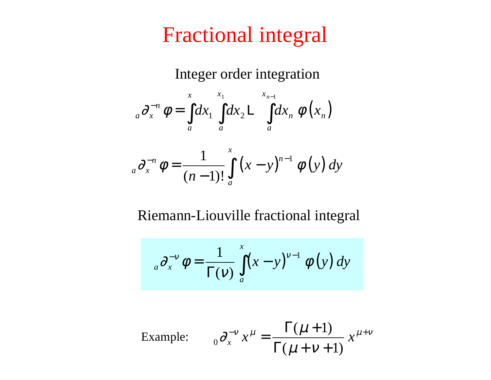# Fractional integral

Integer order integration

$$
{}_{a}\partial_{x}^{-n}\phi=\int_{a}^{x}dx_{1}\int_{a}^{x_{1}}dx_{2}\log_{a}x_{n}\phi\left(x_{n}\right)
$$

$$
{}_{a}\partial_{x}^{-n}\phi = \frac{1}{(n-1)!} \int_{a}^{x} (x-y)^{n-1} \phi(y) \, dy
$$

Riemann-Liouville fractional integral

$$
{}_{a}\partial_{x}^{-\nu}\phi=\frac{1}{\Gamma(\nu)}\int_{a}^{x}(x-y)^{\nu-1}\phi(y)\,dy
$$

Example: 
$$
{}_0 \partial_x^{-\nu} x^\mu = \frac{\Gamma(\mu+1)}{\Gamma(\mu+\nu+1)} x^{\mu+\nu}
$$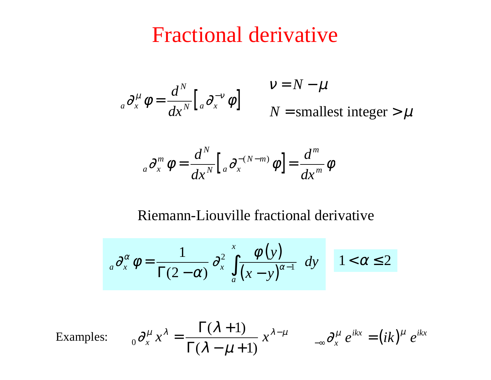## Fractional derivative

$$
{}_{a}\partial_{x}^{\mu}\phi=\frac{d^{N}}{dx^{N}}\Big[{}_{a}\partial_{x}^{-\nu}\phi\Big]
$$

 $N =$  smallest integer  $> \mu$  $v = N - \mu$ 

$$
_{a}\partial _{x}^{m}\,\phi =\frac{d^{N}}{dx^{N}}\big[\,_{a}\partial _{x}^{-(N-m)}\,\phi \,\big]=\frac{d^{m}}{dx^{m}}\phi
$$

#### Riemann-Liouville fractional derivative

$$
{}_{a}\partial_{x}^{\alpha}\phi=\frac{1}{\Gamma(2-\alpha)}\partial_{x}^{2}\int_{a}^{x}\frac{\phi(y)}{(x-y)^{\alpha-1}}\,dy\qquad 1<\alpha\leq 2
$$

Examples: 
$$
{}_0 \partial_x^{\mu} x^{\lambda} = \frac{\Gamma(\lambda + 1)}{\Gamma(\lambda - \mu + 1)} x^{\lambda - \mu} \qquad {}_{-\infty} \partial_x^{\mu} e^{ikx} = (ik)^{\mu} e^{ikx}
$$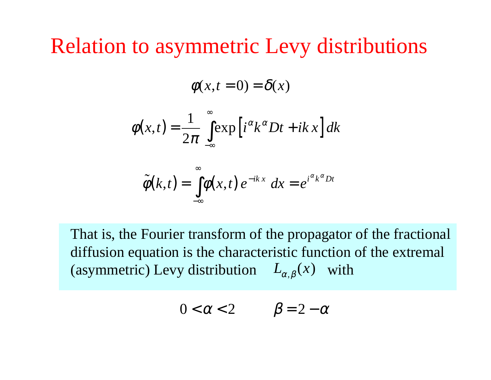Relation to asymmetric Levy distributions

$$
\phi(x,t=0)=\delta(x)
$$

$$
\phi(x,t) = \frac{1}{2\pi} \int_{-\infty}^{\infty} \exp\left[i^{\alpha}k^{\alpha}Dt + ikx\right]dk
$$

$$
\tilde{\phi}(k,t) = \int_{-\infty}^{\infty} \phi(x,t) e^{-ikx} dx = e^{i^{\alpha}k^{\alpha}Dt}
$$

That is, the Fourier transform of the propagator of the fractional diffusion equation is the characteristic function of the extremal (asymmetric) Levy distribution  $L_{\alpha,\beta}(x)$  with

$$
0 < \alpha < 2 \qquad \beta = 2 - \alpha
$$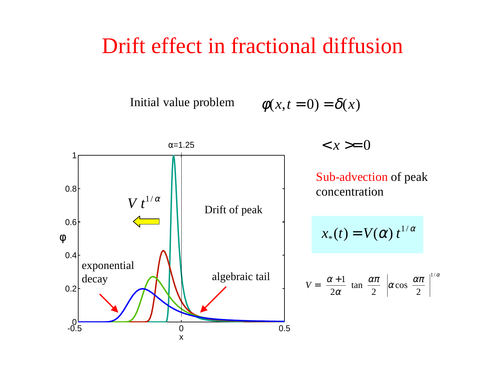### Drift effect in fractional diffusion

Initial value problem  $\phi(x, t = 0) = \delta(x)$ 

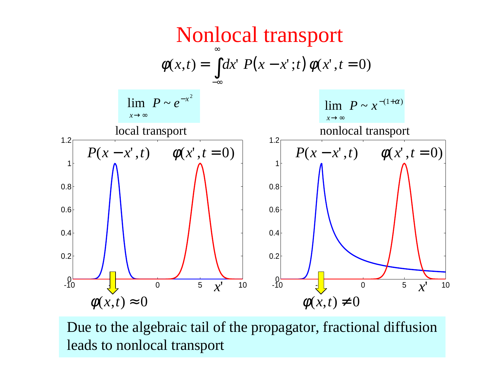

Due to the algebraic tail of the propagator, fractional diffusion leads to nonlocal transport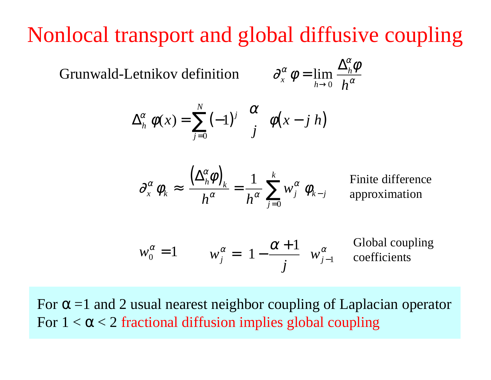# Nonlocal transport and global diffusive coupling

Grunwald-Letnikov definition

$$
\partial_x^{\alpha} \phi = \lim_{h \to 0} \frac{\Delta_h^{\alpha} \phi}{h^{\alpha}}
$$

$$
\Delta_h^{\alpha} \phi(x) = \sum_{j=0}^N (-1)^j {\alpha \choose j} \phi(x - j \ h)
$$

$$
\partial_x^{\alpha} \phi_k \approx \frac{\left(\Delta_h^{\alpha} \phi\right)_k}{h^{\alpha}} = \frac{1}{h^{\alpha}} \sum_{j=0}^k w_j^{\alpha} \phi_{k-j}
$$

Finite difference approximation

$$
w_0^{\alpha} = 1
$$
  $w_j^{\alpha} = \left(1 - \frac{\alpha + 1}{j}\right) w_{j-1}^{\alpha}$  Global coupling coefficients

For  $\alpha$  =1 and 2 usual nearest neighbor coupling of Laplacian operator For  $1 < \alpha < 2$  fractional diffusion implies global coupling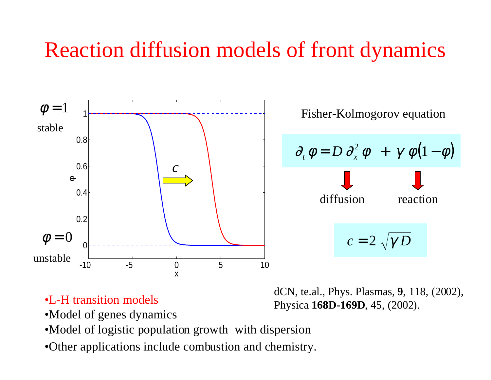# Reaction diffusion models of front dynamics



•L-H transition models

dCN, te.al., Phys. Plasmas, **9**, 118, (2002), Physica **168D-169D**, 45, (2002).

- •Model of genes dynamics
- •Model of logistic population growth with dispersion
- •Other applications include combustion and chemistry.